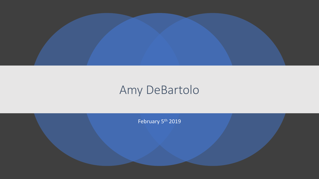

#### Amy DeBartolo

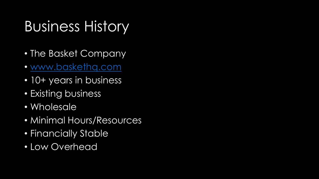# Business History

- The Basket Company
- [www.baskethq.com](http://www.baskethq.com/)
- 10+ years in business
- Existing business
- Wholesale
- Minimal Hours/Resources
- Financially Stable
- Low Overhead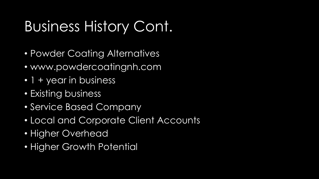# Business History Cont.

- Powder Coating Alternatives
- www.powdercoatingnh.com
- 1 + year in business
- Existing business
- Service Based Company
- Local and Corporate Client Accounts
- Higher Overhead
- Higher Growth Potential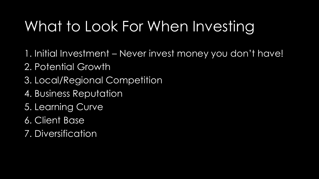# What to Look For When Investing

- 1. Initial Investment Never invest money you don't have!
- 2. Potential Growth
- 3. Local/Regional Competition
- 4. Business Reputation
- 5. Learning Curve
- 6. Client Base
- 7. Diversification